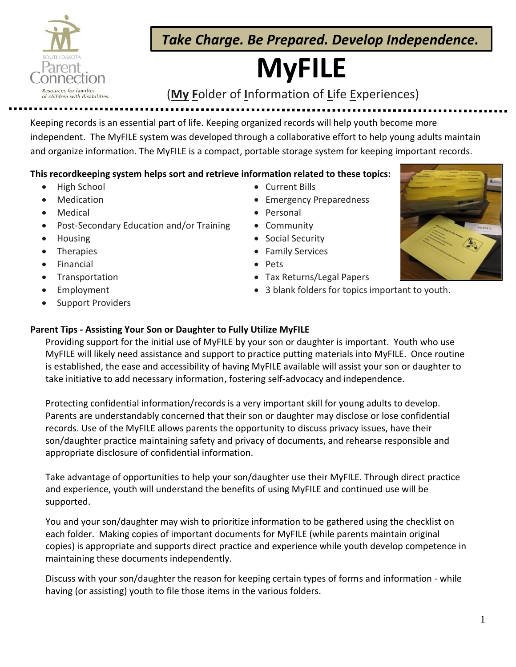

 *Take Charge. Be Prepared. Develop Independence.*

# **MyFILE**

# Resources for families<br>of children with disabilities. **(My Folder of Information of Life Experiences)**

Keeping records is an essential part of life. Keeping organized records will help youth become more independent. The MyFILE system was developed through a collaborative effort to help young adults maintain and organize information. The MyFILE is a compact, portable storage system for keeping important records.

### **This recordkeeping system helps sort and retrieve information related to these topics:**

- High School
- **Medication**
- **Medical**
- Post-Secondary Education and/or Training
- Housing
- **Therapies**
- **Financial**
- **Transportation**
- **Employment**
- Support Providers
- Current Bills
- Emergency Preparedness
- Personal
- Community
- Social Security
- Family Services
- Pets
- Tax Returns/Legal Papers
- 3 blank folders for topics important to youth.



## **Parent Tips - Assisting Your Son or Daughter to Fully Utilize MyFILE**

Providing support for the initial use of MyFILE by your son or daughter is important. Youth who use MyFILE will likely need assistance and support to practice putting materials into MyFILE. Once routine is established, the ease and accessibility of having MyFILE available will assist your son or daughter to take initiative to add necessary information, fostering self-advocacy and independence.

Protecting confidential information/records is a very important skill for young adults to develop. Parents are understandably concerned that their son or daughter may disclose or lose confidential records. Use of the MyFILE allows parents the opportunity to discuss privacy issues, have their son/daughter practice maintaining safety and privacy of documents, and rehearse responsible and appropriate disclosure of confidential information.

Take advantage of opportunities to help your son/daughter use their MyFILE. Through direct practice and experience, youth will understand the benefits of using MyFILE and continued use will be supported.

You and your son/daughter may wish to prioritize information to be gathered using the checklist on each folder. Making copies of important documents for MyFILE (while parents maintain original copies) is appropriate and supports direct practice and experience while youth develop competence in maintaining these documents independently.

Discuss with your son/daughter the reason for keeping certain types of forms and information - while having (or assisting) youth to file those items in the various folders.